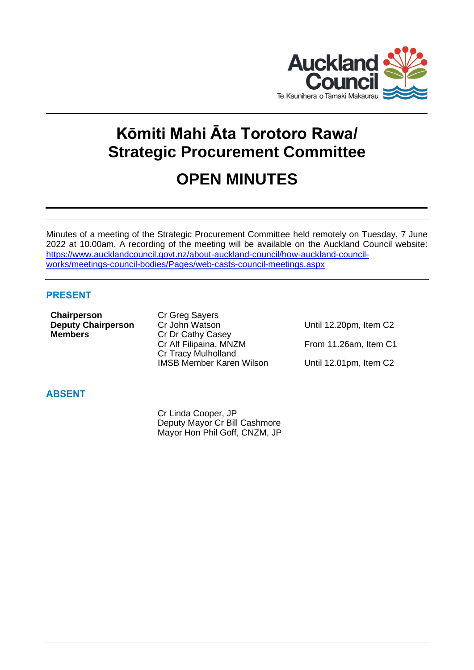

# **Kōmiti Mahi Āta Torotoro Rawa/ Strategic Procurement Committee**

# **OPEN MINUTES**

Minutes of a meeting of the Strategic Procurement Committee held remotely on Tuesday, 7 June 2022 at 10.00am. A recording of the meeting will be available on the Auckland Council website: [https://www.aucklandcouncil.govt.nz/about-auckland-council/how-auckland-council](https://www.aucklandcouncil.govt.nz/about-auckland-council/how-auckland-council-works/meetings-council-bodies/Pages/web-casts-council-meetings.aspx)[works/meetings-council-bodies/Pages/web-casts-council-meetings.aspx](https://www.aucklandcouncil.govt.nz/about-auckland-council/how-auckland-council-works/meetings-council-bodies/Pages/web-casts-council-meetings.aspx)

# **PRESENT**

**Chairperson** Cr Greg Sayers **Members** Cr Dr Cathy Casey

**Deputy Chairperson** Cr John Watson Until 12.20pm, Item C2 Cr Alf Filipaina, MNZM From 11.26am, Item C1 Cr Tracy Mulholland IMSB Member Karen Wilson Until 12.01pm, Item C2

# **ABSENT**

Cr Linda Cooper, JP Deputy Mayor Cr Bill Cashmore Mayor Hon Phil Goff, CNZM, JP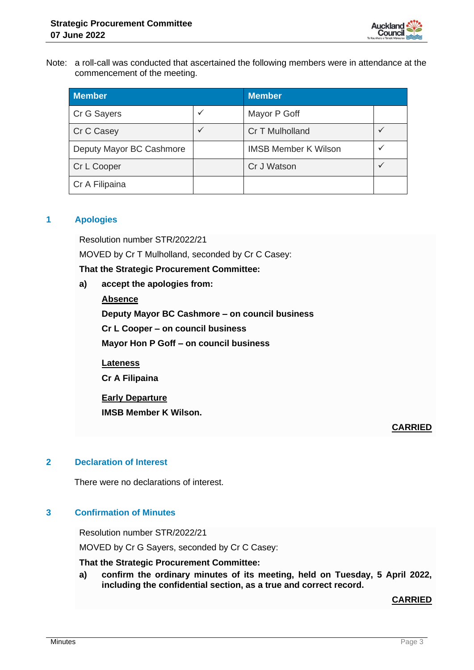

Note: a roll-call was conducted that ascertained the following members were in attendance at the commencement of the meeting.

| <b>Member</b>            |  | <b>Member</b>               |   |
|--------------------------|--|-----------------------------|---|
| Cr G Sayers              |  | Mayor P Goff                |   |
| Cr C Casey               |  | Cr T Mulholland             |   |
| Deputy Mayor BC Cashmore |  | <b>IMSB Member K Wilson</b> | v |
| Cr L Cooper              |  | Cr J Watson                 |   |
| Cr A Filipaina           |  |                             |   |

## **1 Apologies**

Resolution number STR/2022/21

MOVED by Cr T Mulholland, seconded by Cr C Casey:

## **That the Strategic Procurement Committee:**

- **a) accept the apologies from:**
	- **Absence**

**Deputy Mayor BC Cashmore – on council business**

**Cr L Cooper – on council business**

**Mayor Hon P Goff – on council business**

**Lateness Cr A Filipaina**

**Early Departure**

**IMSB Member K Wilson.**

## **CARRIED**

## **2 Declaration of Interest**

There were no declarations of interest.

## **3 Confirmation of Minutes**

Resolution number STR/2022/21

MOVED by Cr G Sayers, seconded by Cr C Casey:

**That the Strategic Procurement Committee:**

**a) confirm the ordinary minutes of its meeting, held on Tuesday, 5 April 2022, including the confidential section, as a true and correct record.**

## **CARRIED**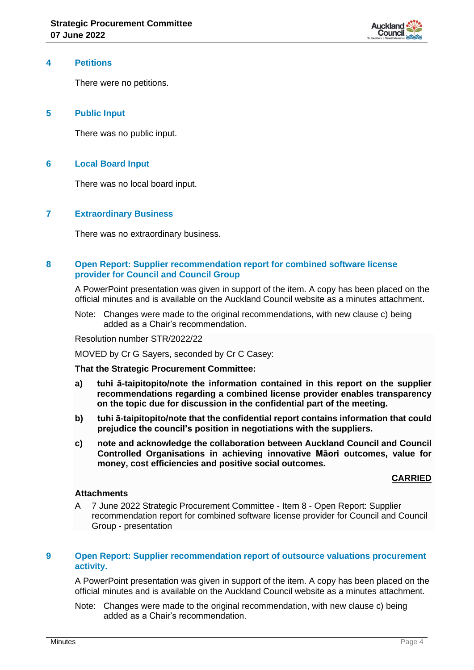

#### **4 Petitions**

There were no petitions.

## **5 Public Input**

There was no public input.

## **6 Local Board Input**

There was no local board input.

## **7 Extraordinary Business**

There was no extraordinary business.

## **8 Open Report: Supplier recommendation report for combined software license provider for Council and Council Group**

A PowerPoint presentation was given in support of the item. A copy has been placed on the official minutes and is available on the Auckland Council website as a minutes attachment.

Note: Changes were made to the original recommendations, with new clause c) being added as a Chair's recommendation.

Resolution number STR/2022/22

MOVED by Cr G Sayers, seconded by Cr C Casey:

#### **That the Strategic Procurement Committee:**

- **a) tuhi ā-taipitopito/note the information contained in this report on the supplier recommendations regarding a combined license provider enables transparency on the topic due for discussion in the confidential part of the meeting.**
- **b) tuhi ā-taipitopito/note that the confidential report contains information that could prejudice the council's position in negotiations with the suppliers.**
- **c) note and acknowledge the collaboration between Auckland Council and Council Controlled Organisations in achieving innovative Māori outcomes, value for money, cost efficiencies and positive social outcomes.**

## **CARRIED**

#### **Attachments**

A 7 June 2022 Strategic Procurement Committee - Item 8 - Open Report: Supplier recommendation report for combined software license provider for Council and Council Group - presentation

### **9 Open Report: Supplier recommendation report of outsource valuations procurement activity.**

A PowerPoint presentation was given in support of the item. A copy has been placed on the official minutes and is available on the Auckland Council website as a minutes attachment.

Note: Changes were made to the original recommendation, with new clause c) being added as a Chair's recommendation.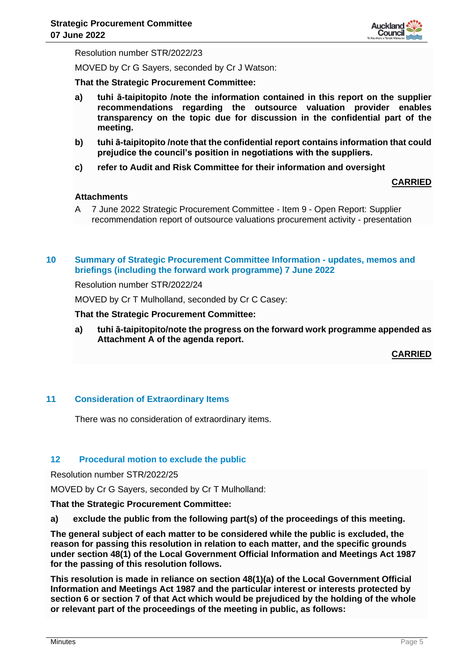

Resolution number STR/2022/23

MOVED by Cr G Sayers, seconded by Cr J Watson:

**That the Strategic Procurement Committee:**

- **a) tuhi ā-taipitopito /note the information contained in this report on the supplier recommendations regarding the outsource valuation provider enables transparency on the topic due for discussion in the confidential part of the meeting.**
- **b) tuhi ā-taipitopito /note that the confidential report contains information that could prejudice the council's position in negotiations with the suppliers.**
- **c) refer to Audit and Risk Committee for their information and oversight**

**CARRIED**

#### **Attachments**

A 7 June 2022 Strategic Procurement Committee - Item 9 - Open Report: Supplier recommendation report of outsource valuations procurement activity - presentation

## **10 Summary of Strategic Procurement Committee Information - updates, memos and briefings (including the forward work programme) 7 June 2022**

Resolution number STR/2022/24

MOVED by Cr T Mulholland, seconded by Cr C Casey:

#### **That the Strategic Procurement Committee:**

**a) tuhi ā-taipitopito/note the progress on the forward work programme appended as Attachment A of the agenda report.**

**CARRIED**

### **11 Consideration of Extraordinary Items**

There was no consideration of extraordinary items.

#### **12 Procedural motion to exclude the public**

Resolution number STR/2022/25

MOVED by Cr G Sayers, seconded by Cr T Mulholland:

**That the Strategic Procurement Committee:**

**a) exclude the public from the following part(s) of the proceedings of this meeting.**

**The general subject of each matter to be considered while the public is excluded, the reason for passing this resolution in relation to each matter, and the specific grounds under section 48(1) of the Local Government Official Information and Meetings Act 1987 for the passing of this resolution follows.**

**This resolution is made in reliance on section 48(1)(a) of the Local Government Official Information and Meetings Act 1987 and the particular interest or interests protected by section 6 or section 7 of that Act which would be prejudiced by the holding of the whole or relevant part of the proceedings of the meeting in public, as follows:**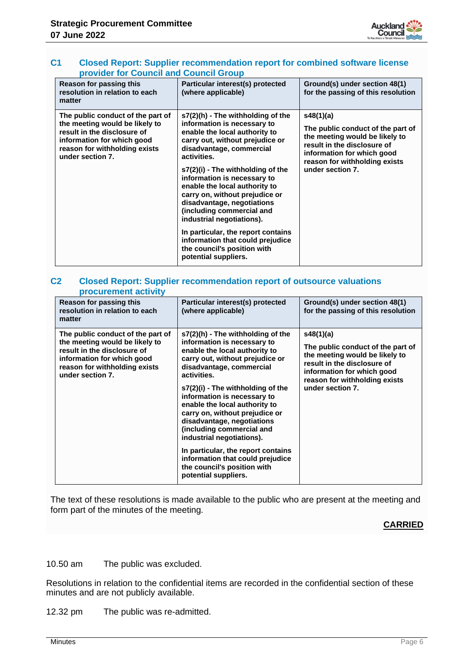

## **C1 Closed Report: Supplier recommendation report for combined software license provider for Council and Council Group**

| Reason for passing this<br>resolution in relation to each<br>matter                                                                                                                   | Particular interest(s) protected<br>(where applicable)                                                                                                                                                                                                                                                                                                                                                                                                                                                                                          | Ground(s) under section 48(1)<br>for the passing of this resolution                                                                                                                                |
|---------------------------------------------------------------------------------------------------------------------------------------------------------------------------------------|-------------------------------------------------------------------------------------------------------------------------------------------------------------------------------------------------------------------------------------------------------------------------------------------------------------------------------------------------------------------------------------------------------------------------------------------------------------------------------------------------------------------------------------------------|----------------------------------------------------------------------------------------------------------------------------------------------------------------------------------------------------|
| The public conduct of the part of<br>the meeting would be likely to<br>result in the disclosure of<br>information for which good<br>reason for withholding exists<br>under section 7. | s7(2)(h) - The withholding of the<br>information is necessary to<br>enable the local authority to<br>carry out, without prejudice or<br>disadvantage, commercial<br>activities.<br>s7(2)(i) - The withholding of the<br>information is necessary to<br>enable the local authority to<br>carry on, without prejudice or<br>disadvantage, negotiations<br>(including commercial and<br>industrial negotiations).<br>In particular, the report contains<br>information that could prejudice<br>the council's position with<br>potential suppliers. | s48(1)(a)<br>The public conduct of the part of<br>the meeting would be likely to<br>result in the disclosure of<br>information for which good<br>reason for withholding exists<br>under section 7. |

#### **C2 Closed Report: Supplier recommendation report of outsource valuations procurement activity**

| Reason for passing this<br>resolution in relation to each<br>matter                                                                                                                   | Particular interest(s) protected<br>(where applicable)                                                                                                                                                                                                                                                                                                                                                                                                                                                                                          | Ground(s) under section 48(1)<br>for the passing of this resolution                                                                                                                                |
|---------------------------------------------------------------------------------------------------------------------------------------------------------------------------------------|-------------------------------------------------------------------------------------------------------------------------------------------------------------------------------------------------------------------------------------------------------------------------------------------------------------------------------------------------------------------------------------------------------------------------------------------------------------------------------------------------------------------------------------------------|----------------------------------------------------------------------------------------------------------------------------------------------------------------------------------------------------|
| The public conduct of the part of<br>the meeting would be likely to<br>result in the disclosure of<br>information for which good<br>reason for withholding exists<br>under section 7. | s7(2)(h) - The withholding of the<br>information is necessary to<br>enable the local authority to<br>carry out, without prejudice or<br>disadvantage, commercial<br>activities.<br>s7(2)(i) - The withholding of the<br>information is necessary to<br>enable the local authority to<br>carry on, without prejudice or<br>disadvantage, negotiations<br>(including commercial and<br>industrial negotiations).<br>In particular, the report contains<br>information that could prejudice<br>the council's position with<br>potential suppliers. | s48(1)(a)<br>The public conduct of the part of<br>the meeting would be likely to<br>result in the disclosure of<br>information for which good<br>reason for withholding exists<br>under section 7. |

The text of these resolutions is made available to the public who are present at the meeting and form part of the minutes of the meeting.

## **CARRIED**

10.50 am The public was excluded.

Resolutions in relation to the confidential items are recorded in the confidential section of these minutes and are not publicly available.

12.32 pm The public was re-admitted.